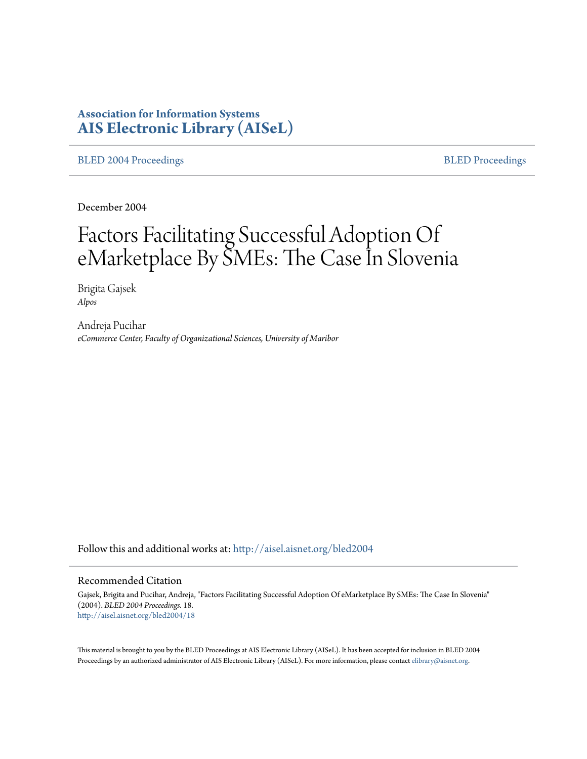# **Association for Information Systems [AIS Electronic Library \(AISeL\)](http://aisel.aisnet.org?utm_source=aisel.aisnet.org%2Fbled2004%2F18&utm_medium=PDF&utm_campaign=PDFCoverPages)**

#### [BLED 2004 Proceedings](http://aisel.aisnet.org/bled2004?utm_source=aisel.aisnet.org%2Fbled2004%2F18&utm_medium=PDF&utm_campaign=PDFCoverPages) and the state of the state of the [BLED Proceedings](http://aisel.aisnet.org/bled?utm_source=aisel.aisnet.org%2Fbled2004%2F18&utm_medium=PDF&utm_campaign=PDFCoverPages) and the BLED Proceedings and the BLED Proceedings and the BLED Proceedings and the BLED Proceedings and the BLED Proceedings and the BLED Proceedings

December 2004

# Factors Facilitating Successful Adoption Of eMarketplace By SMEs: The Case In Slovenia

Brigita Gajsek *Alpos*

Andreja Pucihar *eCommerce Center, Faculty of Organizational Sciences, University of Maribor*

Follow this and additional works at: [http://aisel.aisnet.org/bled2004](http://aisel.aisnet.org/bled2004?utm_source=aisel.aisnet.org%2Fbled2004%2F18&utm_medium=PDF&utm_campaign=PDFCoverPages)

#### Recommended Citation

Gajsek, Brigita and Pucihar, Andreja, "Factors Facilitating Successful Adoption Of eMarketplace By SMEs: The Case In Slovenia" (2004). *BLED 2004 Proceedings*. 18. [http://aisel.aisnet.org/bled2004/18](http://aisel.aisnet.org/bled2004/18?utm_source=aisel.aisnet.org%2Fbled2004%2F18&utm_medium=PDF&utm_campaign=PDFCoverPages)

This material is brought to you by the BLED Proceedings at AIS Electronic Library (AISeL). It has been accepted for inclusion in BLED 2004 Proceedings by an authorized administrator of AIS Electronic Library (AISeL). For more information, please contact [elibrary@aisnet.org](mailto:elibrary@aisnet.org%3E).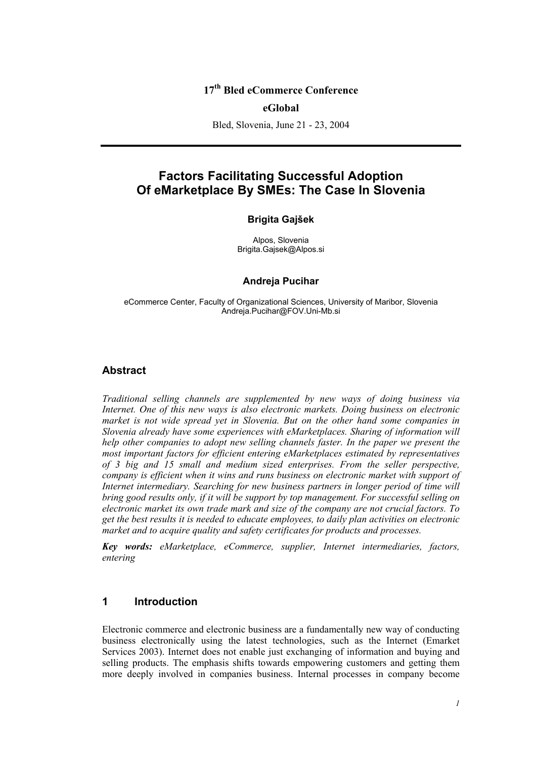# **17th Bled eCommerce Conference**

#### **eGlobal**

Bled, Slovenia, June 21 - 23, 2004

# **Factors Facilitating Successful Adoption Of eMarketplace By SMEs: The Case In Slovenia**

#### **Brigita Gajšek**

Alpos, Slovenia Brigita.Gajsek@Alpos.si

#### **Andreja Pucihar**

eCommerce Center, Faculty of Organizational Sciences, University of Maribor, Slovenia Andreja.Pucihar@FOV.Uni-Mb.si

## **Abstract**

*Traditional selling channels are supplemented by new ways of doing business via Internet. One of this new ways is also electronic markets. Doing business on electronic market is not wide spread yet in Slovenia. But on the other hand some companies in Slovenia already have some experiences with eMarketplaces. Sharing of information will help other companies to adopt new selling channels faster. In the paper we present the most important factors for efficient entering eMarketplaces estimated by representatives of 3 big and 15 small and medium sized enterprises. From the seller perspective, company is efficient when it wins and runs business on electronic market with support of Internet intermediary. Searching for new business partners in longer period of time will bring good results only, if it will be support by top management. For successful selling on electronic market its own trade mark and size of the company are not crucial factors. To get the best results it is needed to educate employees, to daily plan activities on electronic market and to acquire quality and safety certificates for products and processes.* 

*Key words: eMarketplace, eCommerce, supplier, Internet intermediaries, factors, entering* 

## **1 Introduction**

Electronic commerce and electronic business are a fundamentally new way of conducting business electronically using the latest technologies, such as the Internet (Emarket Services 2003). Internet does not enable just exchanging of information and buying and selling products. The emphasis shifts towards empowering customers and getting them more deeply involved in companies business. Internal processes in company become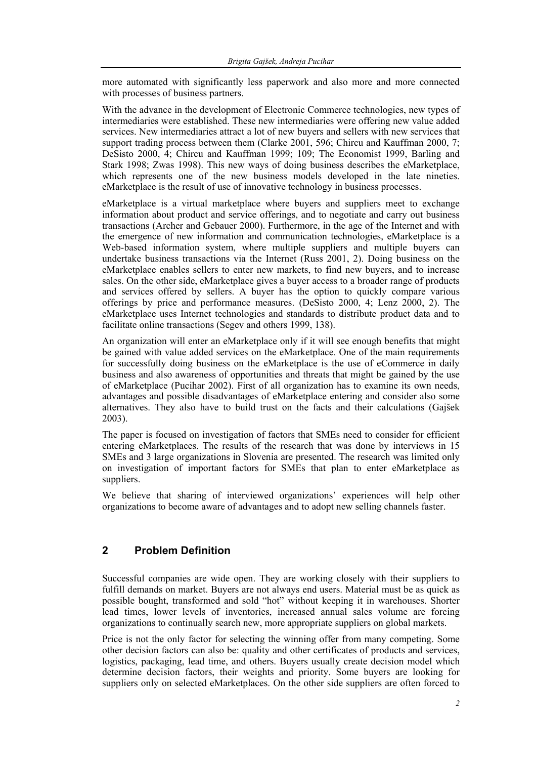more automated with significantly less paperwork and also more and more connected with processes of business partners.

With the advance in the development of Electronic Commerce technologies, new types of intermediaries were established. These new intermediaries were offering new value added services. New intermediaries attract a lot of new buyers and sellers with new services that support trading process between them (Clarke 2001, 596; Chircu and Kauffman 2000, 7; DeSisto 2000, 4; Chircu and Kauffman 1999; 109; The Economist 1999, Barling and Stark 1998; Zwas 1998). This new ways of doing business describes the eMarketplace, which represents one of the new business models developed in the late nineties. eMarketplace is the result of use of innovative technology in business processes.

eMarketplace is a virtual marketplace where buyers and suppliers meet to exchange information about product and service offerings, and to negotiate and carry out business transactions (Archer and Gebauer 2000). Furthermore, in the age of the Internet and with the emergence of new information and communication technologies, eMarketplace is a Web-based information system, where multiple suppliers and multiple buyers can undertake business transactions via the Internet (Russ 2001, 2). Doing business on the eMarketplace enables sellers to enter new markets, to find new buyers, and to increase sales. On the other side, eMarketplace gives a buyer access to a broader range of products and services offered by sellers. A buyer has the option to quickly compare various offerings by price and performance measures. (DeSisto 2000, 4; Lenz 2000, 2). The eMarketplace uses Internet technologies and standards to distribute product data and to facilitate online transactions (Segev and others 1999, 138).

An organization will enter an eMarketplace only if it will see enough benefits that might be gained with value added services on the eMarketplace. One of the main requirements for successfully doing business on the eMarketplace is the use of eCommerce in daily business and also awareness of opportunities and threats that might be gained by the use of eMarketplace (Pucihar 2002). First of all organization has to examine its own needs, advantages and possible disadvantages of eMarketplace entering and consider also some alternatives. They also have to build trust on the facts and their calculations (Gajšek 2003).

The paper is focused on investigation of factors that SMEs need to consider for efficient entering eMarketplaces. The results of the research that was done by interviews in 15 SMEs and 3 large organizations in Slovenia are presented. The research was limited only on investigation of important factors for SMEs that plan to enter eMarketplace as suppliers.

We believe that sharing of interviewed organizations' experiences will help other organizations to become aware of advantages and to adopt new selling channels faster.

## **2 Problem Definition**

Successful companies are wide open. They are working closely with their suppliers to fulfill demands on market. Buyers are not always end users. Material must be as quick as possible bought, transformed and sold "hot" without keeping it in warehouses. Shorter lead times, lower levels of inventories, increased annual sales volume are forcing organizations to continually search new, more appropriate suppliers on global markets.

Price is not the only factor for selecting the winning offer from many competing. Some other decision factors can also be: quality and other certificates of products and services, logistics, packaging, lead time, and others. Buyers usually create decision model which determine decision factors, their weights and priority. Some buyers are looking for suppliers only on selected eMarketplaces. On the other side suppliers are often forced to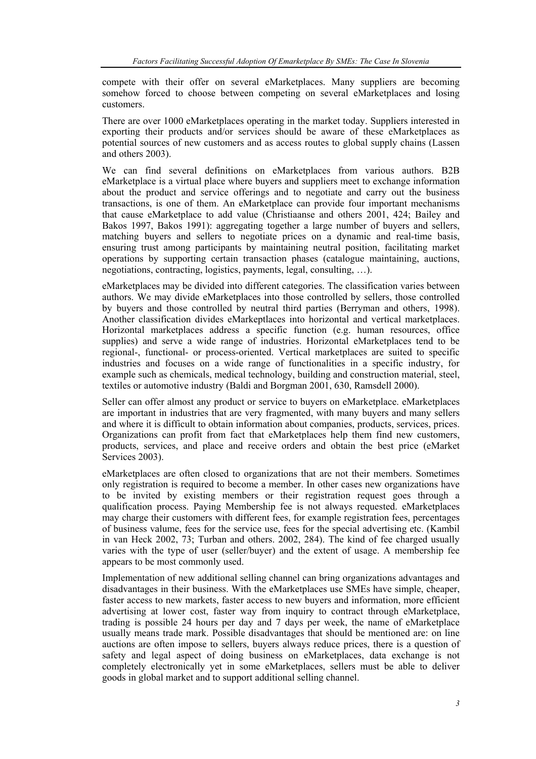compete with their offer on several eMarketplaces. Many suppliers are becoming somehow forced to choose between competing on several eMarketplaces and losing customers.

There are over 1000 eMarketplaces operating in the market today. Suppliers interested in exporting their products and/or services should be aware of these eMarketplaces as potential sources of new customers and as access routes to global supply chains (Lassen and others 2003).

We can find several definitions on eMarketplaces from various authors. B2B eMarketplace is a virtual place where buyers and suppliers meet to exchange information about the product and service offerings and to negotiate and carry out the business transactions, is one of them. An eMarketplace can provide four important mechanisms that cause eMarketplace to add value (Christiaanse and others 2001, 424; Bailey and Bakos 1997, Bakos 1991): aggregating together a large number of buyers and sellers, matching buyers and sellers to negotiate prices on a dynamic and real-time basis, ensuring trust among participants by maintaining neutral position, facilitating market operations by supporting certain transaction phases (catalogue maintaining, auctions, negotiations, contracting, logistics, payments, legal, consulting, …).

eMarketplaces may be divided into different categories. The classification varies between authors. We may divide eMarketplaces into those controlled by sellers, those controlled by buyers and those controlled by neutral third parties (Berryman and others, 1998). Another classification divides eMarkeptlaces into horizontal and vertical marketplaces. Horizontal marketplaces address a specific function (e.g. human resources, office supplies) and serve a wide range of industries. Horizontal eMarketplaces tend to be regional-, functional- or process-oriented. Vertical marketplaces are suited to specific industries and focuses on a wide range of functionalities in a specific industry, for example such as chemicals, medical technology, building and construction material, steel, textiles or automotive industry (Baldi and Borgman 2001, 630, Ramsdell 2000).

Seller can offer almost any product or service to buyers on eMarketplace. eMarketplaces are important in industries that are very fragmented, with many buyers and many sellers and where it is difficult to obtain information about companies, products, services, prices. Organizations can profit from fact that eMarketplaces help them find new customers, products, services, and place and receive orders and obtain the best price (eMarket Services 2003).

eMarketplaces are often closed to organizations that are not their members. Sometimes only registration is required to become a member. In other cases new organizations have to be invited by existing members or their registration request goes through a qualification process. Paying Membership fee is not always requested. eMarketplaces may charge their customers with different fees, for example registration fees, percentages of business valume, fees for the service use, fees for the special advertising etc. (Kambil in van Heck 2002, 73; Turban and others. 2002, 284). The kind of fee charged usually varies with the type of user (seller/buyer) and the extent of usage. A membership fee appears to be most commonly used.

Implementation of new additional selling channel can bring organizations advantages and disadvantages in their business. With the eMarketplaces use SMEs have simple, cheaper, faster access to new markets, faster access to new buyers and information, more efficient advertising at lower cost, faster way from inquiry to contract through eMarketplace, trading is possible 24 hours per day and 7 days per week, the name of eMarketplace usually means trade mark. Possible disadvantages that should be mentioned are: on line auctions are often impose to sellers, buyers always reduce prices, there is a question of safety and legal aspect of doing business on eMarketplaces, data exchange is not completely electronically yet in some eMarketplaces, sellers must be able to deliver goods in global market and to support additional selling channel.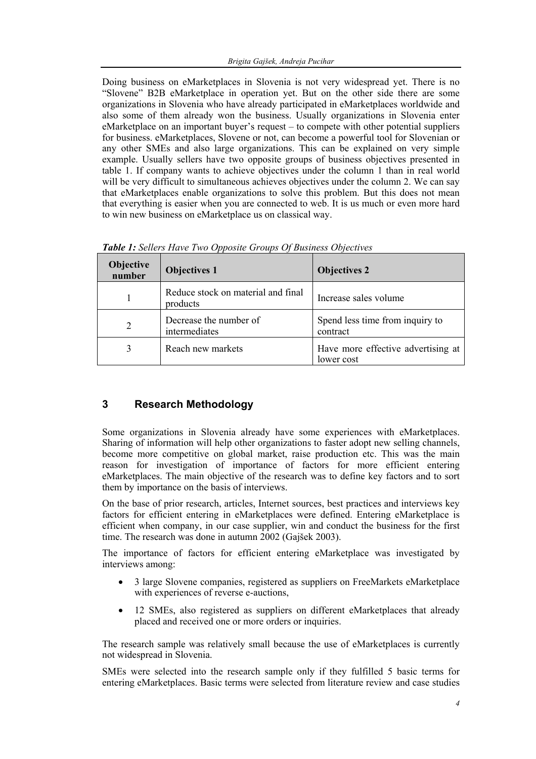Doing business on eMarketplaces in Slovenia is not very widespread yet. There is no "Slovene" B2B eMarketplace in operation yet. But on the other side there are some organizations in Slovenia who have already participated in eMarketplaces worldwide and also some of them already won the business. Usually organizations in Slovenia enter eMarketplace on an important buyer's request – to compete with other potential suppliers for business. eMarketplaces, Slovene or not, can become a powerful tool for Slovenian or any other SMEs and also large organizations. This can be explained on very simple example. Usually sellers have two opposite groups of business objectives presented in table 1. If company wants to achieve objectives under the column 1 than in real world will be very difficult to simultaneous achieves objectives under the column 2. We can say that eMarketplaces enable organizations to solve this problem. But this does not mean that everything is easier when you are connected to web. It is us much or even more hard to win new business on eMarketplace us on classical way.

| <b>Objective</b><br>number | <b>Objectives 1</b>                            | <b>Objectives 2</b>                              |
|----------------------------|------------------------------------------------|--------------------------------------------------|
|                            | Reduce stock on material and final<br>products | Increase sales volume                            |
| $\overline{2}$             | Decrease the number of<br>intermediates        | Spend less time from inquiry to<br>contract      |
| 3                          | Reach new markets                              | Have more effective advertising at<br>lower cost |

*Table 1: Sellers Have Two Opposite Groups Of Business Objectives* 

# **3 Research Methodology**

Some organizations in Slovenia already have some experiences with eMarketplaces. Sharing of information will help other organizations to faster adopt new selling channels, become more competitive on global market, raise production etc. This was the main reason for investigation of importance of factors for more efficient entering eMarketplaces. The main objective of the research was to define key factors and to sort them by importance on the basis of interviews.

On the base of prior research, articles, Internet sources, best practices and interviews key factors for efficient entering in eMarketplaces were defined. Entering eMarketplace is efficient when company, in our case supplier, win and conduct the business for the first time. The research was done in autumn 2002 (Gajšek 2003).

The importance of factors for efficient entering eMarketplace was investigated by interviews among:

- 3 large Slovene companies, registered as suppliers on FreeMarkets eMarketplace with experiences of reverse e-auctions,
- 12 SMEs, also registered as suppliers on different eMarketplaces that already placed and received one or more orders or inquiries.

The research sample was relatively small because the use of eMarketplaces is currently not widespread in Slovenia.

SMEs were selected into the research sample only if they fulfilled 5 basic terms for entering eMarketplaces. Basic terms were selected from literature review and case studies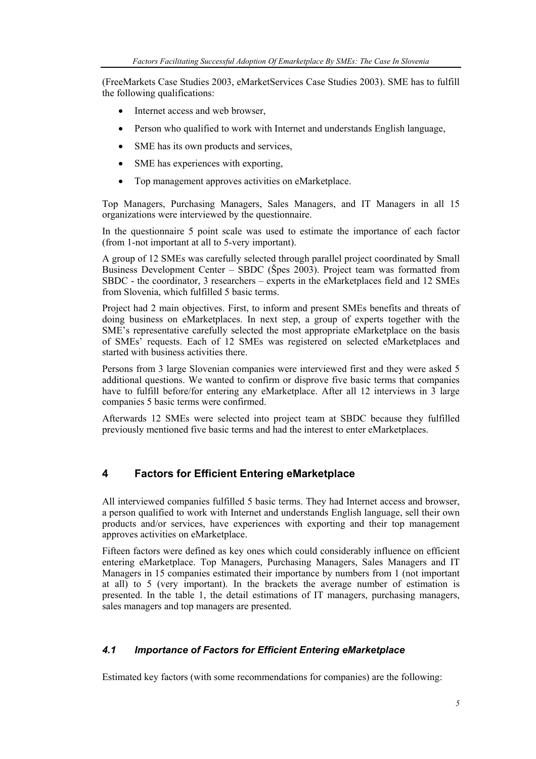(FreeMarkets Case Studies 2003, eMarketServices Case Studies 2003). SME has to fulfill the following qualifications:

- Internet access and web browser,
- Person who qualified to work with Internet and understands English language,
- SME has its own products and services,
- SME has experiences with exporting,
- Top management approves activities on eMarketplace.

Top Managers, Purchasing Managers, Sales Managers, and IT Managers in all 15 organizations were interviewed by the questionnaire.

In the questionnaire 5 point scale was used to estimate the importance of each factor (from 1-not important at all to 5-very important).

A group of 12 SMEs was carefully selected through parallel project coordinated by Small Business Development Center – SBDC (Špes 2003). Project team was formatted from SBDC - the coordinator, 3 researchers – experts in the eMarketplaces field and 12 SMEs from Slovenia, which fulfilled 5 basic terms.

Project had 2 main objectives. First, to inform and present SMEs benefits and threats of doing business on eMarketplaces. In next step, a group of experts together with the SME's representative carefully selected the most appropriate eMarketplace on the basis of SMEs' requests. Each of 12 SMEs was registered on selected eMarketplaces and started with business activities there.

Persons from 3 large Slovenian companies were interviewed first and they were asked 5 additional questions. We wanted to confirm or disprove five basic terms that companies have to fulfill before/for entering any eMarketplace. After all 12 interviews in 3 large companies 5 basic terms were confirmed.

Afterwards 12 SMEs were selected into project team at SBDC because they fulfilled previously mentioned five basic terms and had the interest to enter eMarketplaces.

## **4 Factors for Efficient Entering eMarketplace**

All interviewed companies fulfilled 5 basic terms. They had Internet access and browser, a person qualified to work with Internet and understands English language, sell their own products and/or services, have experiences with exporting and their top management approves activities on eMarketplace.

Fifteen factors were defined as key ones which could considerably influence on efficient entering eMarketplace. Top Managers, Purchasing Managers, Sales Managers and IT Managers in 15 companies estimated their importance by numbers from 1 (not important at all) to 5 (very important). In the brackets the average number of estimation is presented. In the table 1, the detail estimations of IT managers, purchasing managers, sales managers and top managers are presented.

#### *4.1 Importance of Factors for Efficient Entering eMarketplace*

Estimated key factors (with some recommendations for companies) are the following: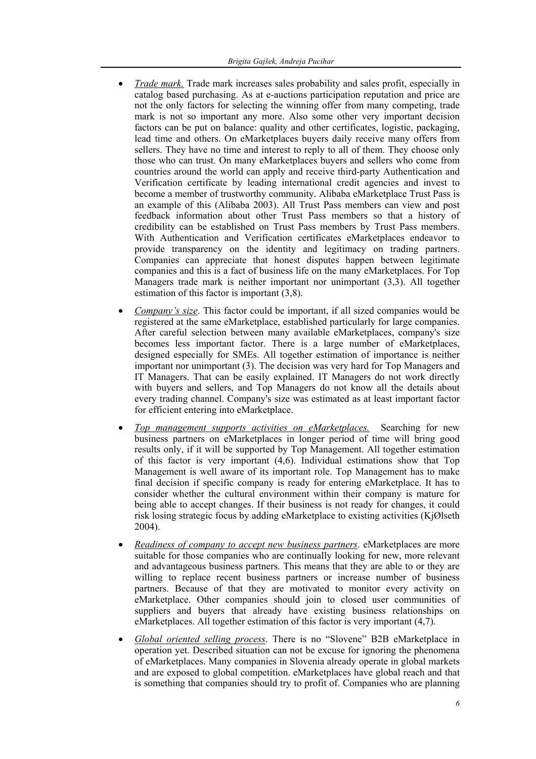- *Trade mark.* Trade mark increases sales probability and sales profit, especially in catalog based purchasing. As at e-auctions participation reputation and price are not the only factors for selecting the winning offer from many competing, trade mark is not so important any more. Also some other very important decision factors can be put on balance: quality and other certificates, logistic, packaging, lead time and others. On eMarketplaces buyers daily receive many offers from sellers. They have no time and interest to reply to all of them. They choose only those who can trust. On many eMarketplaces buyers and sellers who come from countries around the world can apply and receive third-party Authentication and Verification certificate by leading international credit agencies and invest to become a member of trustworthy community. Alibaba eMarketplace Trust Pass is an example of this (Alibaba 2003). All Trust Pass members can view and post feedback information about other Trust Pass members so that a history of credibility can be established on Trust Pass members by Trust Pass members. With Authentication and Verification certificates eMarketplaces endeavor to provide transparency on the identity and legitimacy on trading partners. Companies can appreciate that honest disputes happen between legitimate companies and this is a fact of business life on the many eMarketplaces. For Top Managers trade mark is neither important nor unimportant (3,3). All together estimation of this factor is important (3,8).
- *Company's size*. This factor could be important, if all sized companies would be registered at the same eMarketplace, established particularly for large companies. After careful selection between many available eMarketplaces, company's size becomes less important factor. There is a large number of eMarketplaces, designed especially for SMEs. All together estimation of importance is neither important nor unimportant (3). The decision was very hard for Top Managers and IT Managers. That can be easily explained. IT Managers do not work directly with buyers and sellers, and Top Managers do not know all the details about every trading channel. Company's size was estimated as at least important factor for efficient entering into eMarketplace.
- *Top management supports activities on eMarketplaces.* Searching for new business partners on eMarketplaces in longer period of time will bring good results only, if it will be supported by Top Management. All together estimation of this factor is very important (4,6). Individual estimations show that Top Management is well aware of its important role. Top Management has to make final decision if specific company is ready for entering eMarketplace. It has to consider whether the cultural environment within their company is mature for being able to accept changes. If their business is not ready for changes, it could risk losing strategic focus by adding eMarketplace to existing activities (KjØlseth 2004).
- *Readiness of company to accept new business partners*. eMarketplaces are more suitable for those companies who are continually looking for new, more relevant and advantageous business partners. This means that they are able to or they are willing to replace recent business partners or increase number of business partners. Because of that they are motivated to monitor every activity on eMarketplace. Other companies should join to closed user communities of suppliers and buyers that already have existing business relationships on eMarketplaces. All together estimation of this factor is very important (4,7).
- *Global oriented selling process*. There is no "Slovene" B2B eMarketplace in operation yet. Described situation can not be excuse for ignoring the phenomena of eMarketplaces. Many companies in Slovenia already operate in global markets and are exposed to global competition. eMarketplaces have global reach and that is something that companies should try to profit of. Companies who are planning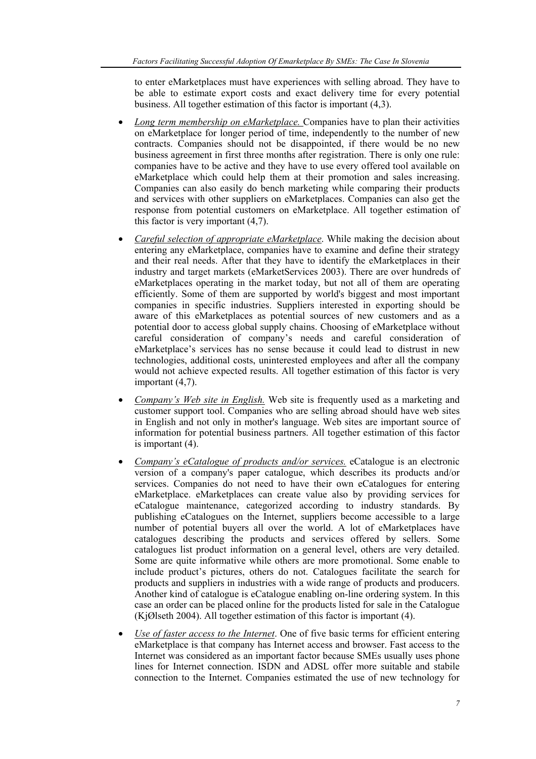to enter eMarketplaces must have experiences with selling abroad. They have to be able to estimate export costs and exact delivery time for every potential business. All together estimation of this factor is important (4,3).

- *Long term membership on eMarketplace.* Companies have to plan their activities on eMarketplace for longer period of time, independently to the number of new contracts. Companies should not be disappointed, if there would be no new business agreement in first three months after registration. There is only one rule: companies have to be active and they have to use every offered tool available on eMarketplace which could help them at their promotion and sales increasing. Companies can also easily do bench marketing while comparing their products and services with other suppliers on eMarketplaces. Companies can also get the response from potential customers on eMarketplace. All together estimation of this factor is very important (4,7).
- *Careful selection of appropriate eMarketplace*. While making the decision about entering any eMarketplace, companies have to examine and define their strategy and their real needs. After that they have to identify the eMarketplaces in their industry and target markets (eMarketServices 2003). There are over hundreds of eMarketplaces operating in the market today, but not all of them are operating efficiently. Some of them are supported by world's biggest and most important companies in specific industries. Suppliers interested in exporting should be aware of this eMarketplaces as potential sources of new customers and as a potential door to access global supply chains. Choosing of eMarketplace without careful consideration of company's needs and careful consideration of eMarketplace's services has no sense because it could lead to distrust in new technologies, additional costs, uninterested employees and after all the company would not achieve expected results. All together estimation of this factor is very important (4,7).
- *Company's Web site in English.* Web site is frequently used as a marketing and customer support tool. Companies who are selling abroad should have web sites in English and not only in mother's language. Web sites are important source of information for potential business partners. All together estimation of this factor is important (4).
- *Company's eCatalogue of products and/or services.* eCatalogue is an electronic version of a company's paper catalogue, which describes its products and/or services. Companies do not need to have their own eCatalogues for entering eMarketplace. eMarketplaces can create value also by providing services for eCatalogue maintenance, categorized according to industry standards. By publishing eCatalogues on the Internet, suppliers become accessible to a large number of potential buyers all over the world. A lot of eMarketplaces have catalogues describing the products and services offered by sellers. Some catalogues list product information on a general level, others are very detailed. Some are quite informative while others are more promotional. Some enable to include product's pictures, others do not. Catalogues facilitate the search for products and suppliers in industries with a wide range of products and producers. Another kind of catalogue is eCatalogue enabling on-line ordering system. In this case an order can be placed online for the products listed for sale in the Catalogue (KjØlseth 2004). All together estimation of this factor is important (4).
- *Use of faster access to the Internet*. One of five basic terms for efficient entering eMarketplace is that company has Internet access and browser. Fast access to the Internet was considered as an important factor because SMEs usually uses phone lines for Internet connection. ISDN and ADSL offer more suitable and stabile connection to the Internet. Companies estimated the use of new technology for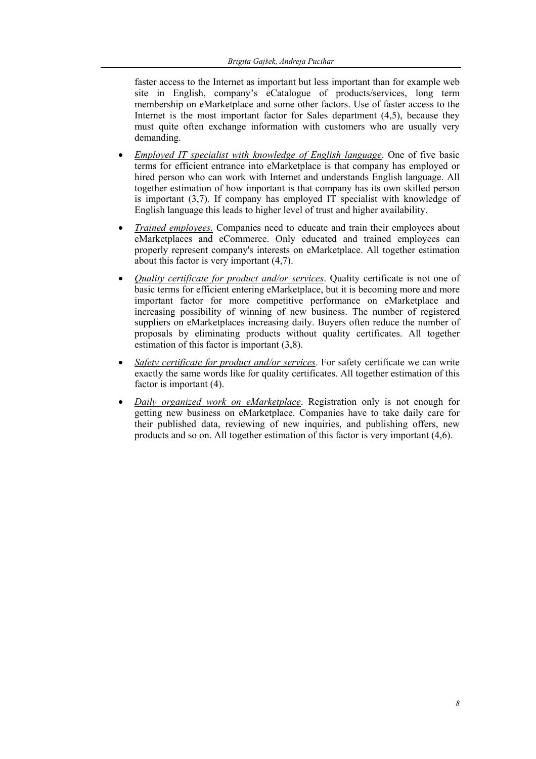faster access to the Internet as important but less important than for example web site in English, company's eCatalogue of products/services, long term membership on eMarketplace and some other factors. Use of faster access to the Internet is the most important factor for Sales department  $(4,5)$ , because they must quite often exchange information with customers who are usually very demanding.

- *Employed IT specialist with knowledge of English language*. One of five basic terms for efficient entrance into eMarketplace is that company has employed or hired person who can work with Internet and understands English language. All together estimation of how important is that company has its own skilled person is important (3,7). If company has employed IT specialist with knowledge of English language this leads to higher level of trust and higher availability.
- *Trained employees.* Companies need to educate and train their employees about eMarketplaces and eCommerce. Only educated and trained employees can properly represent company's interests on eMarketplace. All together estimation about this factor is very important (4,7).
- *Quality certificate for product and/or services*. Quality certificate is not one of basic terms for efficient entering eMarketplace, but it is becoming more and more important factor for more competitive performance on eMarketplace and increasing possibility of winning of new business. The number of registered suppliers on eMarketplaces increasing daily. Buyers often reduce the number of proposals by eliminating products without quality certificates. All together estimation of this factor is important (3,8).
- *Safety certificate for product and/or services*. For safety certificate we can write exactly the same words like for quality certificates. All together estimation of this factor is important (4).
- *Daily organized work on eMarketplace*. Registration only is not enough for getting new business on eMarketplace. Companies have to take daily care for their published data, reviewing of new inquiries, and publishing offers, new products and so on. All together estimation of this factor is very important (4,6).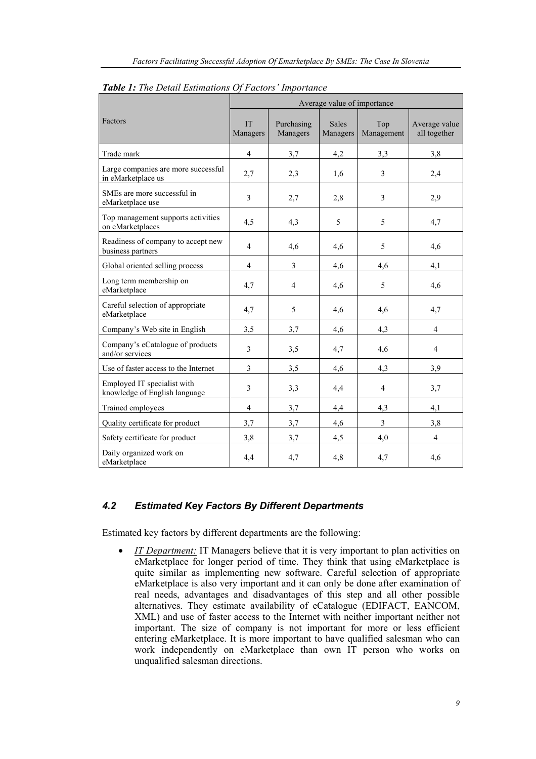|                                                              | Average value of importance |                         |                          |                         |                               |
|--------------------------------------------------------------|-----------------------------|-------------------------|--------------------------|-------------------------|-------------------------------|
| Factors                                                      | <b>IT</b><br>Managers       | Purchasing<br>Managers  | <b>Sales</b><br>Managers | Top<br>Management       | Average value<br>all together |
| Trade mark                                                   | $\overline{4}$              | 3,7                     | 4,2                      | 3,3                     | 3,8                           |
| Large companies are more successful<br>in eMarketplace us    | 2,7                         | 2,3                     | 1.6                      | 3                       | 2,4                           |
| SMEs are more successful in<br>eMarketplace use              | $\mathfrak{Z}$              | 2,7                     | 2,8                      | 3                       | 2,9                           |
| Top management supports activities<br>on eMarketplaces       | 4,5                         | 4,3                     | 5                        | 5                       | 4,7                           |
| Readiness of company to accept new<br>business partners      | $\overline{4}$              | 4,6                     | 4,6                      | 5                       | 4,6                           |
| Global oriented selling process                              | $\overline{4}$              | $\overline{\mathbf{3}}$ | 4,6                      | 4,6                     | 4,1                           |
| Long term membership on<br>eMarketplace                      | 4,7                         | $\overline{4}$          | 4,6                      | 5                       | 4,6                           |
| Careful selection of appropriate<br>eMarketplace             | 4,7                         | 5                       | 4,6                      | 4,6                     | 4,7                           |
| Company's Web site in English                                | 3,5                         | 3,7                     | 4,6                      | 4,3                     | $\overline{4}$                |
| Company's eCatalogue of products<br>and/or services          | $\mathfrak{Z}$              | 3,5                     | 4,7                      | 4,6                     | $\overline{4}$                |
| Use of faster access to the Internet                         | 3                           | 3,5                     | 4,6                      | 4,3                     | 3,9                           |
| Employed IT specialist with<br>knowledge of English language | 3                           | 3,3                     | 4,4                      | $\overline{4}$          | 3,7                           |
| Trained employees                                            | $\overline{\mathcal{A}}$    | 3,7                     | 4,4                      | 4,3                     | 4,1                           |
| Quality certificate for product                              | 3,7                         | 3,7                     | 4,6                      | $\overline{\mathbf{3}}$ | 3,8                           |
| Safety certificate for product                               | 3,8                         | 3,7                     | 4,5                      | 4,0                     | $\overline{\mathbf{4}}$       |
| Daily organized work on<br>eMarketplace                      | 4,4                         | 4,7                     | 4,8                      | 4,7                     | 4,6                           |

*Table 1: The Detail Estimations Of Factors' Importance* 

## *4.2 Estimated Key Factors By Different Departments*

Estimated key factors by different departments are the following:

• *IT Department:* IT Managers believe that it is very important to plan activities on eMarketplace for longer period of time. They think that using eMarketplace is quite similar as implementing new software. Careful selection of appropriate eMarketplace is also very important and it can only be done after examination of real needs, advantages and disadvantages of this step and all other possible alternatives. They estimate availability of eCatalogue (EDIFACT, EANCOM, XML) and use of faster access to the Internet with neither important neither not important. The size of company is not important for more or less efficient entering eMarketplace. It is more important to have qualified salesman who can work independently on eMarketplace than own IT person who works on unqualified salesman directions.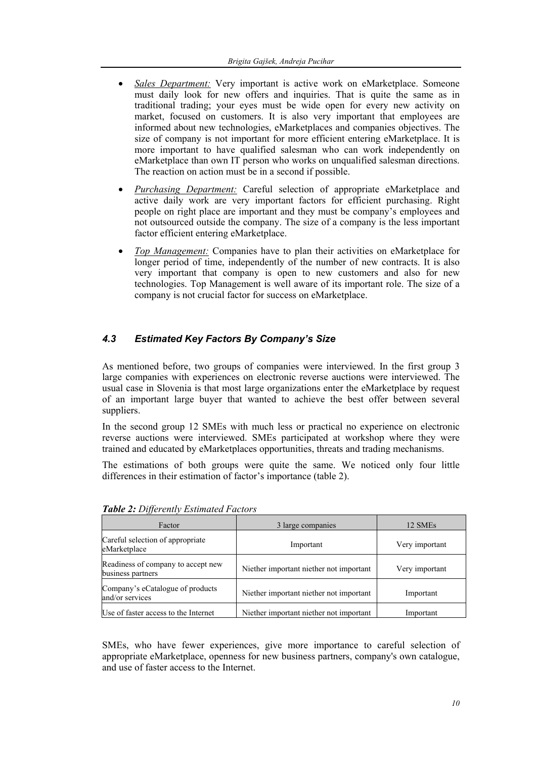- *Sales Department:* Very important is active work on eMarketplace. Someone must daily look for new offers and inquiries. That is quite the same as in traditional trading; your eyes must be wide open for every new activity on market, focused on customers. It is also very important that employees are informed about new technologies, eMarketplaces and companies objectives. The size of company is not important for more efficient entering eMarketplace. It is more important to have qualified salesman who can work independently on eMarketplace than own IT person who works on unqualified salesman directions. The reaction on action must be in a second if possible.
- *Purchasing Department:* Careful selection of appropriate eMarketplace and active daily work are very important factors for efficient purchasing. Right people on right place are important and they must be company's employees and not outsourced outside the company. The size of a company is the less important factor efficient entering eMarketplace.
- *Top Management:* Companies have to plan their activities on eMarketplace for longer period of time, independently of the number of new contracts. It is also very important that company is open to new customers and also for new technologies. Top Management is well aware of its important role. The size of a company is not crucial factor for success on eMarketplace.

# *4.3 Estimated Key Factors By Company's Size*

As mentioned before, two groups of companies were interviewed. In the first group 3 large companies with experiences on electronic reverse auctions were interviewed. The usual case in Slovenia is that most large organizations enter the eMarketplace by request of an important large buyer that wanted to achieve the best offer between several suppliers.

In the second group 12 SMEs with much less or practical no experience on electronic reverse auctions were interviewed. SMEs participated at workshop where they were trained and educated by eMarketplaces opportunities, threats and trading mechanisms.

The estimations of both groups were quite the same. We noticed only four little differences in their estimation of factor's importance (table 2).

| Factor                                                  | 3 large companies                       | 12 SMEs        |  |
|---------------------------------------------------------|-----------------------------------------|----------------|--|
| Careful selection of appropriate<br>eMarketplace        | Important                               | Very important |  |
| Readiness of company to accept new<br>business partners | Niether important niether not important | Very important |  |
| Company's eCatalogue of products<br>and/or services     | Niether important niether not important | Important      |  |
| Use of faster access to the Internet                    | Niether important niether not important | Important      |  |

*Table 2: Differently Estimated Factors* 

SMEs, who have fewer experiences, give more importance to careful selection of appropriate eMarketplace, openness for new business partners, company's own catalogue, and use of faster access to the Internet.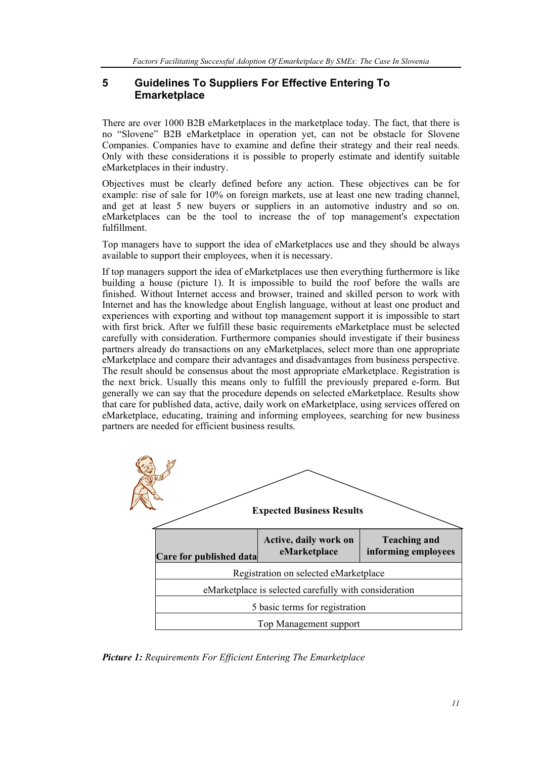# **5 Guidelines To Suppliers For Effective Entering To Emarketplace**

There are over 1000 B2B eMarketplaces in the marketplace today. The fact, that there is no "Slovene" B2B eMarketplace in operation yet, can not be obstacle for Slovene Companies. Companies have to examine and define their strategy and their real needs. Only with these considerations it is possible to properly estimate and identify suitable eMarketplaces in their industry.

Objectives must be clearly defined before any action. These objectives can be for example: rise of sale for 10% on foreign markets, use at least one new trading channel. and get at least 5 new buyers or suppliers in an automotive industry and so on. eMarketplaces can be the tool to increase the of top management's expectation fulfillment.

Top managers have to support the idea of eMarketplaces use and they should be always available to support their employees, when it is necessary.

If top managers support the idea of eMarketplaces use then everything furthermore is like building a house (picture 1). It is impossible to build the roof before the walls are finished. Without Internet access and browser, trained and skilled person to work with Internet and has the knowledge about English language, without at least one product and experiences with exporting and without top management support it is impossible to start with first brick. After we fulfill these basic requirements eMarketplace must be selected carefully with consideration. Furthermore companies should investigate if their business partners already do transactions on any eMarketplaces, select more than one appropriate eMarketplace and compare their advantages and disadvantages from business perspective. The result should be consensus about the most appropriate eMarketplace. Registration is the next brick. Usually this means only to fulfill the previously prepared e-form. But generally we can say that the procedure depends on selected eMarketplace. Results show that care for published data, active, daily work on eMarketplace, using services offered on eMarketplace, educating, training and informing employees, searching for new business partners are needed for efficient business results.



*Picture 1: Requirements For Efficient Entering The Emarketplace*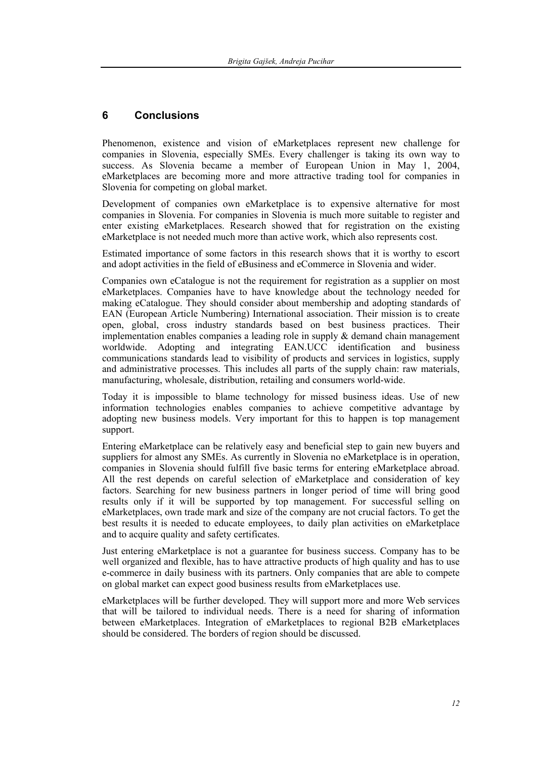## **6 Conclusions**

Phenomenon, existence and vision of eMarketplaces represent new challenge for companies in Slovenia, especially SMEs. Every challenger is taking its own way to success. As Slovenia became a member of European Union in May 1, 2004, eMarketplaces are becoming more and more attractive trading tool for companies in Slovenia for competing on global market.

Development of companies own eMarketplace is to expensive alternative for most companies in Slovenia. For companies in Slovenia is much more suitable to register and enter existing eMarketplaces. Research showed that for registration on the existing eMarketplace is not needed much more than active work, which also represents cost.

Estimated importance of some factors in this research shows that it is worthy to escort and adopt activities in the field of eBusiness and eCommerce in Slovenia and wider.

Companies own eCatalogue is not the requirement for registration as a supplier on most eMarketplaces. Companies have to have knowledge about the technology needed for making eCatalogue. They should consider about membership and adopting standards of EAN (European Article Numbering) International association. Their mission is to create open, global, cross industry standards based on best business practices. Their implementation enables companies a leading role in supply & demand chain management worldwide. Adopting and integrating EAN.UCC identification and business communications standards lead to visibility of products and services in logistics, supply and administrative processes. This includes all parts of the supply chain: raw materials, manufacturing, wholesale, distribution, retailing and consumers world-wide.

Today it is impossible to blame technology for missed business ideas. Use of new information technologies enables companies to achieve competitive advantage by adopting new business models. Very important for this to happen is top management support.

Entering eMarketplace can be relatively easy and beneficial step to gain new buyers and suppliers for almost any SMEs. As currently in Slovenia no eMarketplace is in operation, companies in Slovenia should fulfill five basic terms for entering eMarketplace abroad. All the rest depends on careful selection of eMarketplace and consideration of key factors. Searching for new business partners in longer period of time will bring good results only if it will be supported by top management. For successful selling on eMarketplaces, own trade mark and size of the company are not crucial factors. To get the best results it is needed to educate employees, to daily plan activities on eMarketplace and to acquire quality and safety certificates.

Just entering eMarketplace is not a guarantee for business success. Company has to be well organized and flexible, has to have attractive products of high quality and has to use e-commerce in daily business with its partners. Only companies that are able to compete on global market can expect good business results from eMarketplaces use.

eMarketplaces will be further developed. They will support more and more Web services that will be tailored to individual needs. There is a need for sharing of information between eMarketplaces. Integration of eMarketplaces to regional B2B eMarketplaces should be considered. The borders of region should be discussed.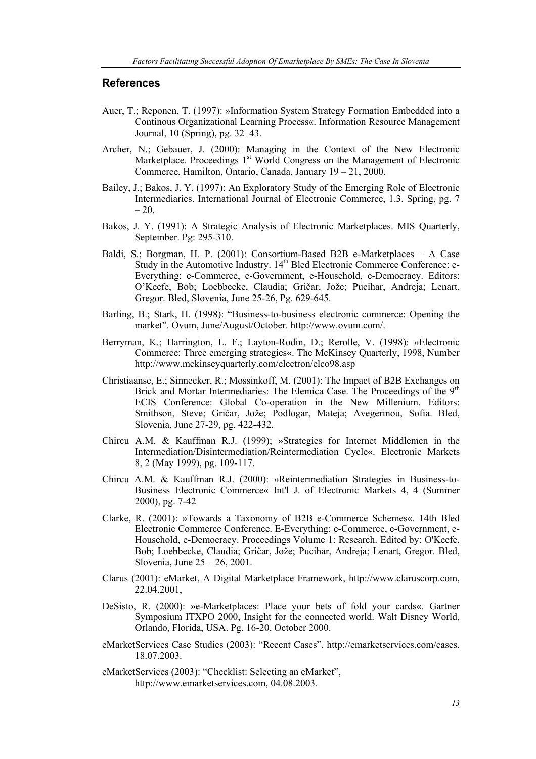#### **References**

- Auer, T.; Reponen, T. (1997): »Information System Strategy Formation Embedded into a Continous Organizational Learning Process«. Information Resource Management Journal, 10 (Spring), pg. 32–43.
- Archer, N.; Gebauer, J. (2000): Managing in the Context of the New Electronic Marketplace. Proceedings 1<sup>st</sup> World Congress on the Management of Electronic Commerce, Hamilton, Ontario, Canada, January 19 – 21, 2000.
- Bailey, J.; Bakos, J. Y. (1997): An Exploratory Study of the Emerging Role of Electronic Intermediaries. International Journal of Electronic Commerce, 1.3. Spring, pg. 7  $-20.$
- Bakos, J. Y. (1991): A Strategic Analysis of Electronic Marketplaces. MIS Quarterly, September. Pg: 295-310.
- Baldi, S.; Borgman, H. P. (2001): Consortium-Based B2B e-Marketplaces A Case Study in the Automotive Industry. 14<sup>th</sup> Bled Electronic Commerce Conference: e-Everything: e-Commerce, e-Government, e-Household, e-Democracy. Editors: O'Keefe, Bob; Loebbecke, Claudia; Gričar, Jože; Pucihar, Andreja; Lenart, Gregor. Bled, Slovenia, June 25-26, Pg. 629-645.
- Barling, B.; Stark, H. (1998): "Business-to-business electronic commerce: Opening the market". Ovum, June/August/October. http://www.ovum.com/.
- Berryman, K.; Harrington, L. F.; Layton-Rodin, D.; Rerolle, V. (1998): »Electronic Commerce: Three emerging strategies«. The McKinsey Quarterly, 1998, Number http://www.mckinseyquarterly.com/electron/elco98.asp
- Christiaanse, E.; Sinnecker, R.; Mossinkoff, M. (2001): The Impact of B2B Exchanges on Brick and Mortar Intermediaries: The Elemica Case. The Proceedings of the 9<sup>th</sup> ECIS Conference: Global Co-operation in the New Millenium. Editors: Smithson, Steve; Gričar, Jože; Podlogar, Mateja; Avegerinou, Sofia. Bled, Slovenia, June 27-29, pg. 422-432.
- Chircu A.M. & Kauffman R.J. (1999); »Strategies for Internet Middlemen in the Intermediation/Disintermediation/Reintermediation Cycle«. Electronic Markets 8, 2 (May 1999), pg. 109-117.
- Chircu A.M. & Kauffman R.J. (2000): »Reintermediation Strategies in Business-to-Business Electronic Commerce« Int'l J. of Electronic Markets 4, 4 (Summer 2000), pg. 7-42
- Clarke, R. (2001): »Towards a Taxonomy of B2B e-Commerce Schemes«. 14th Bled Electronic Commerce Conference. E-Everything: e-Commerce, e-Government, e-Household, e-Democracy. Proceedings Volume 1: Research. Edited by: O'Keefe, Bob; Loebbecke, Claudia; Gričar, Jože; Pucihar, Andreja; Lenart, Gregor. Bled, Slovenia, June 25 – 26, 2001.
- Clarus (2001): eMarket, A Digital Marketplace Framework, http://www.claruscorp.com, 22.04.2001,
- DeSisto, R. (2000): »e-Marketplaces: Place your bets of fold your cards«. Gartner Symposium ITXPO 2000, Insight for the connected world. Walt Disney World, Orlando, Florida, USA. Pg. 16-20, October 2000.
- eMarketServices Case Studies (2003): "Recent Cases", http://emarketservices.com/cases, 18.07.2003.
- eMarketServices (2003): "Checklist: Selecting an eMarket", http://www.emarketservices.com, 04.08.2003.